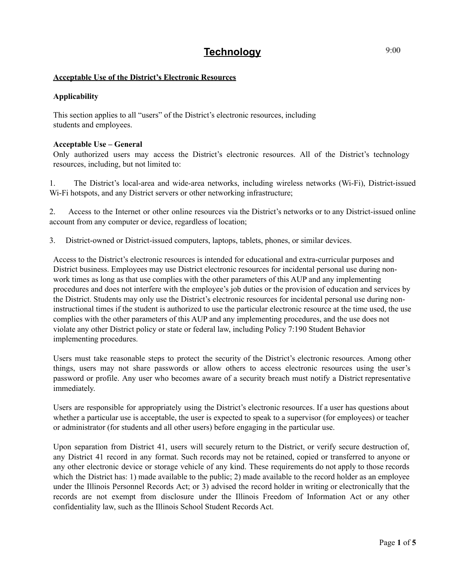# **Technology**

## **Acceptable Use of the District's Electronic Resources**

## **Applicability**

This section applies to all "users" of the District's electronic resources, including students and employees.

#### **Acceptable Use – General**

Only authorized users may access the District's electronic resources. All of the District's technology resources, including, but not limited to:

1. The District's local-area and wide-area networks, including wireless networks (Wi-Fi), District-issued Wi-Fi hotspots, and any District servers or other networking infrastructure;

2. Access to the Internet or other online resources via the District's networks or to any District-issued online account from any computer or device, regardless of location;

3. District-owned or District-issued computers, laptops, tablets, phones, or similar devices.

Access to the District's electronic resources is intended for educational and extra-curricular purposes and District business. Employees may use District electronic resources for incidental personal use during nonwork times as long as that use complies with the other parameters of this AUP and any implementing procedures and does not interfere with the employee's job duties or the provision of education and services by the District. Students may only use the District's electronic resources for incidental personal use during noninstructional times if the student is authorized to use the particular electronic resource at the time used, the use complies with the other parameters of this AUP and any implementing procedures, and the use does not violate any other District policy or state or federal law, including Policy 7:190 Student Behavior implementing procedures.

Users must take reasonable steps to protect the security of the District's electronic resources. Among other things, users may not share passwords or allow others to access electronic resources using the user's password or profile. Any user who becomes aware of a security breach must notify a District representative immediately.

Users are responsible for appropriately using the District's electronic resources. If a user has questions about whether a particular use is acceptable, the user is expected to speak to a supervisor (for employees) or teacher or administrator (for students and all other users) before engaging in the particular use.

Upon separation from District 41, users will securely return to the District, or verify secure destruction of, any District 41 record in any format. Such records may not be retained, copied or transferred to anyone or any other electronic device or storage vehicle of any kind. These requirements do not apply to those records which the District has: 1) made available to the public; 2) made available to the record holder as an employee under the Illinois Personnel Records Act; or 3) advised the record holder in writing or electronically that the records are not exempt from disclosure under the Illinois Freedom of Information Act or any other confidentiality law, such as the Illinois School Student Records Act.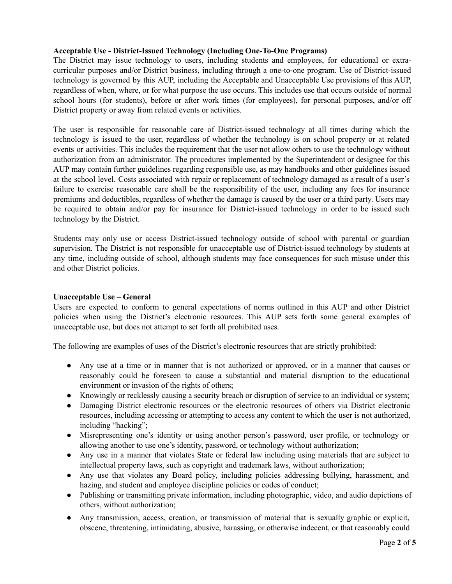## **Acceptable Use - District-Issued Technology (Including One-To-One Programs)**

The District may issue technology to users, including students and employees, for educational or extracurricular purposes and/or District business, including through a one-to-one program. Use of District-issued technology is governed by this AUP, including the Acceptable and Unacceptable Use provisions of this AUP, regardless of when, where, or for what purpose the use occurs. This includes use that occurs outside of normal school hours (for students), before or after work times (for employees), for personal purposes, and/or off District property or away from related events or activities.

The user is responsible for reasonable care of District-issued technology at all times during which the technology is issued to the user, regardless of whether the technology is on school property or at related events or activities. This includes the requirement that the user not allow others to use the technology without authorization from an administrator. The procedures implemented by the Superintendent or designee for this AUP may contain further guidelines regarding responsible use, as may handbooks and other guidelines issued at the school level. Costs associated with repair or replacement of technology damaged as a result of a user's failure to exercise reasonable care shall be the responsibility of the user, including any fees for insurance premiums and deductibles, regardless of whether the damage is caused by the user or a third party. Users may be required to obtain and/or pay for insurance for District-issued technology in order to be issued such technology by the District.

Students may only use or access District-issued technology outside of school with parental or guardian supervision. The District is not responsible for unacceptable use of District-issued technology by students at any time, including outside of school, although students may face consequences for such misuse under this and other District policies.

## **Unacceptable Use – General**

Users are expected to conform to general expectations of norms outlined in this AUP and other District policies when using the District's electronic resources. This AUP sets forth some general examples of unacceptable use, but does not attempt to set forth all prohibited uses.

The following are examples of uses of the District's electronic resources that are strictly prohibited:

- Any use at a time or in manner that is not authorized or approved, or in a manner that causes or reasonably could be foreseen to cause a substantial and material disruption to the educational environment or invasion of the rights of others;
- Knowingly or recklessly causing a security breach or disruption of service to an individual or system;
- Damaging District electronic resources or the electronic resources of others via District electronic resources, including accessing or attempting to access any content to which the user is not authorized, including "hacking";
- Misrepresenting one's identity or using another person's password, user profile, or technology or allowing another to use one's identity, password, or technology without authorization;
- Any use in a manner that violates State or federal law including using materials that are subject to intellectual property laws, such as copyright and trademark laws, without authorization;
- Any use that violates any Board policy, including policies addressing bullying, harassment, and hazing, and student and employee discipline policies or codes of conduct;
- Publishing or transmitting private information, including photographic, video, and audio depictions of others, without authorization;
- Any transmission, access, creation, or transmission of material that is sexually graphic or explicit, obscene, threatening, intimidating, abusive, harassing, or otherwise indecent, or that reasonably could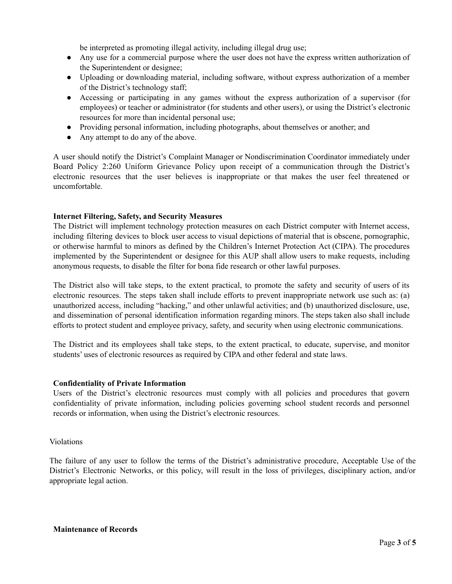be interpreted as promoting illegal activity, including illegal drug use;

- Any use for a commercial purpose where the user does not have the express written authorization of the Superintendent or designee;
- Uploading or downloading material, including software, without express authorization of a member of the District's technology staff;
- Accessing or participating in any games without the express authorization of a supervisor (for employees) or teacher or administrator (for students and other users), or using the District's electronic resources for more than incidental personal use;
- Providing personal information, including photographs, about themselves or another; and
- Any attempt to do any of the above.

A user should notify the District's Complaint Manager or Nondiscrimination Coordinator immediately under Board Policy 2:260 Uniform Grievance Policy upon receipt of a communication through the District's electronic resources that the user believes is inappropriate or that makes the user feel threatened or uncomfortable.

## **Internet Filtering, Safety, and Security Measures**

The District will implement technology protection measures on each District computer with Internet access, including filtering devices to block user access to visual depictions of material that is obscene, pornographic, or otherwise harmful to minors as defined by the Children's Internet Protection Act (CIPA). The procedures implemented by the Superintendent or designee for this AUP shall allow users to make requests, including anonymous requests, to disable the filter for bona fide research or other lawful purposes.

The District also will take steps, to the extent practical, to promote the safety and security of users of its electronic resources. The steps taken shall include efforts to prevent inappropriate network use such as: (a) unauthorized access, including "hacking," and other unlawful activities; and (b) unauthorized disclosure, use, and dissemination of personal identification information regarding minors. The steps taken also shall include efforts to protect student and employee privacy, safety, and security when using electronic communications.

The District and its employees shall take steps, to the extent practical, to educate, supervise, and monitor students' uses of electronic resources as required by CIPA and other federal and state laws.

## **Confidentiality of Private Information**

Users of the District's electronic resources must comply with all policies and procedures that govern confidentiality of private information, including policies governing school student records and personnel records or information, when using the District's electronic resources.

## Violations

The failure of any user to follow the terms of the District's administrative procedure, Acceptable Use of the District's Electronic Networks, or this policy, will result in the loss of privileges, disciplinary action, and/or appropriate legal action.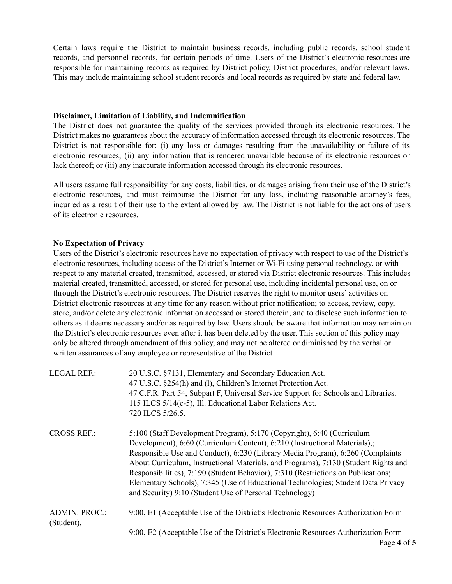Certain laws require the District to maintain business records, including public records, school student records, and personnel records, for certain periods of time. Users of the District's electronic resources are responsible for maintaining records as required by District policy, District procedures, and/or relevant laws. This may include maintaining school student records and local records as required by state and federal law.

#### **Disclaimer, Limitation of Liability, and Indemnification**

The District does not guarantee the quality of the services provided through its electronic resources. The District makes no guarantees about the accuracy of information accessed through its electronic resources. The District is not responsible for: (i) any loss or damages resulting from the unavailability or failure of its electronic resources; (ii) any information that is rendered unavailable because of its electronic resources or lack thereof; or (iii) any inaccurate information accessed through its electronic resources.

All users assume full responsibility for any costs, liabilities, or damages arising from their use of the District's electronic resources, and must reimburse the District for any loss, including reasonable attorney's fees, incurred as a result of their use to the extent allowed by law. The District is not liable for the actions of users of its electronic resources.

## **No Expectation of Privacy**

Users of the District's electronic resources have no expectation of privacy with respect to use of the District's electronic resources, including access of the District's Internet or Wi-Fi using personal technology, or with respect to any material created, transmitted, accessed, or stored via District electronic resources. This includes material created, transmitted, accessed, or stored for personal use, including incidental personal use, on or through the District's electronic resources. The District reserves the right to monitor users' activities on District electronic resources at any time for any reason without prior notification; to access, review, copy, store, and/or delete any electronic information accessed or stored therein; and to disclose such information to others as it deems necessary and/or as required by law. Users should be aware that information may remain on the District's electronic resources even after it has been deleted by the user. This section of this policy may only be altered through amendment of this policy, and may not be altered or diminished by the verbal or written assurances of any employee or representative of the District

| <b>LEGAL REF.:</b>   | 20 U.S.C. §7131, Elementary and Secondary Education Act.                            |
|----------------------|-------------------------------------------------------------------------------------|
|                      | 47 U.S.C. §254(h) and (l), Children's Internet Protection Act.                      |
|                      | 47 C.F.R. Part 54, Subpart F, Universal Service Support for Schools and Libraries.  |
|                      | 115 ILCS 5/14(c-5), Ill. Educational Labor Relations Act.                           |
|                      | 720 ILCS 5/26.5.                                                                    |
| <b>CROSS REF.:</b>   | 5:100 (Staff Development Program), 5:170 (Copyright), 6:40 (Curriculum              |
|                      | Development), 6:60 (Curriculum Content), 6:210 (Instructional Materials),;          |
|                      | Responsible Use and Conduct), 6:230 (Library Media Program), 6:260 (Complaints      |
|                      | About Curriculum, Instructional Materials, and Programs), 7:130 (Student Rights and |
|                      | Responsibilities), 7:190 (Student Behavior), 7:310 (Restrictions on Publications;   |
|                      | Elementary Schools), 7:345 (Use of Educational Technologies; Student Data Privacy   |
|                      | and Security) 9:10 (Student Use of Personal Technology)                             |
| <b>ADMIN. PROC.:</b> | 9:00, E1 (Acceptable Use of the District's Electronic Resources Authorization Form  |
| (Student),           |                                                                                     |
|                      | 9:00, E2 (Acceptable Use of the District's Electronic Resources Authorization Form  |